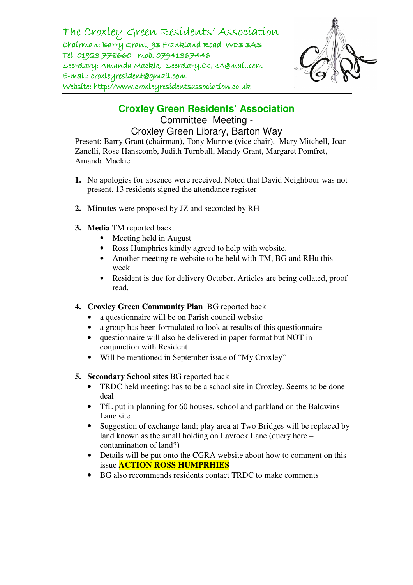The Croxley Green Residents' Association Chairman: Barry Grant, 93 Frankland Road WD3 3AS Tel. 01923 778660 mob. 07941367446 Secretary: Amanda Mackie, Secretary.CGRA@mail.com  $E$ -mail: croxleyresident@gmail.com Website: http://www.croxleyresidentsassociation.co.uk



**Croxley Green Residents' Association**  Committee Meeting - Croxley Green Library, Barton Way

Present: Barry Grant (chairman), Tony Munroe (vice chair), Mary Mitchell, Joan Zanelli, Rose Hanscomb, Judith Turnbull, Mandy Grant, Margaret Pomfret, Amanda Mackie

- **1.** No apologies for absence were received. Noted that David Neighbour was not present. 13 residents signed the attendance register
- **2. Minutes** were proposed by JZ and seconded by RH
- **3. Media** TM reported back.
	- Meeting held in August
	- Ross Humphries kindly agreed to help with website.
	- Another meeting re website to be held with TM, BG and RHu this week
	- Resident is due for delivery October. Articles are being collated, proof read.
- **4. Croxley Green Community Plan** BG reported back
	- a questionnaire will be on Parish council website
	- a group has been formulated to look at results of this questionnaire
	- questionnaire will also be delivered in paper format but NOT in conjunction with Resident
	- Will be mentioned in September issue of "My Croxley"
- **5. Secondary School sites** BG reported back
	- TRDC held meeting; has to be a school site in Croxley. Seems to be done deal
	- TfL put in planning for 60 houses, school and parkland on the Baldwins Lane site
	- Suggestion of exchange land; play area at Two Bridges will be replaced by land known as the small holding on Lavrock Lane (query here – contamination of land?)
	- Details will be put onto the CGRA website about how to comment on this issue **ACTION ROSS HUMPRHIES**
	- BG also recommends residents contact TRDC to make comments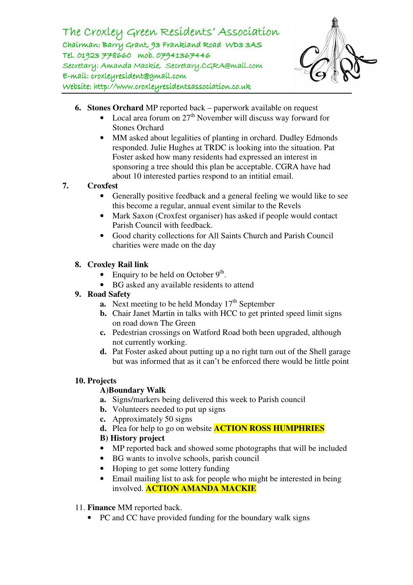The Croxley Green Residents' Association Chairman: Barry Grant, 93 Frankland Road WD3 3AS Tel. 01923 778660 mob. 07941367446 Secretary: Amanda Mackie, Secretary.CGRA@mail.com  $E$ -mail: croxleyresident@gmail.com Website: http://www.croxleyresidentsassociation.co.uk



- **6. Stones Orchard** MP reported back paperwork available on request
	- Local area forum on  $27<sup>th</sup>$  November will discuss way forward for Stones Orchard
	- MM asked about legalities of planting in orchard. Dudley Edmonds responded. Julie Hughes at TRDC is looking into the situation. Pat Foster asked how many residents had expressed an interest in sponsoring a tree should this plan be acceptable. CGRA have had about 10 interested parties respond to an intitial email.

## **7. Croxfest**

- Generally positive feedback and a general feeling we would like to see this become a regular, annual event similar to the Revels
- Mark Saxon (Croxfest organiser) has asked if people would contact Parish Council with feedback.
- Good charity collections for All Saints Church and Parish Council charities were made on the day

### **8. Croxley Rail link**

- Enquiry to be held on October  $9<sup>th</sup>$ .
- BG asked any available residents to attend

#### **9. Road Safety**

- **a.** Next meeting to be held Monday  $17<sup>th</sup>$  September
- **b.** Chair Janet Martin in talks with HCC to get printed speed limit signs on road down The Green
- **c.** Pedestrian crossings on Watford Road both been upgraded, although not currently working.
- **d.** Pat Foster asked about putting up a no right turn out of the Shell garage but was informed that as it can't be enforced there would be little point

#### **10. Projects**

## **A)Boundary Walk**

- **a.** Signs/markers being delivered this week to Parish council
- **b.** Volunteers needed to put up signs
- **c.** Approximately 50 signs
- **d.** Plea for help to go on website **ACTION ROSS HUMPHRIES**

## **B) History project**

- MP reported back and showed some photographs that will be included
- BG wants to involve schools, parish council
- Hoping to get some lottery funding
- Email mailing list to ask for people who might be interested in being involved. **ACTION AMANDA MACKIE**

#### 11. **Finance** MM reported back.

• PC and CC have provided funding for the boundary walk signs